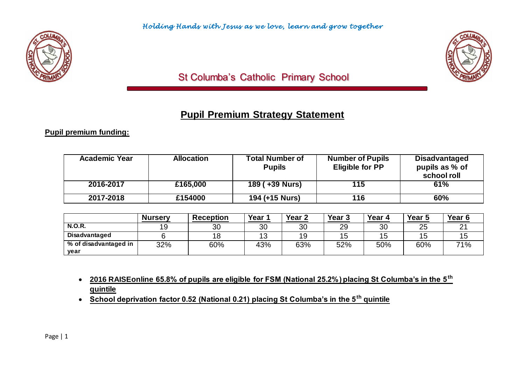

# St Columba's Catholic Primary School

# **Pupil Premium Strategy Statement**

#### **Pupil premium funding:**

| <b>Academic Year</b> | <b>Allocation</b> | <b>Total Number of</b><br><b>Pupils</b> | <b>Number of Pupils</b><br><b>Eligible for PP</b> | <b>Disadvantaged</b><br>pupils as % of<br>school roll |
|----------------------|-------------------|-----------------------------------------|---------------------------------------------------|-------------------------------------------------------|
| 2016-2017            | £165,000          | 189 (+39 Nurs)                          | 115                                               | 61%                                                   |
| 2017-2018            | £154000           | 194 (+15 Nurs)                          | 116                                               | 60%                                                   |

|                       | <b>Nursery</b> | <b>Reception</b> | Year ' | Year <sub>2</sub> | Year <sub>3</sub> | Year 4 | Year 5 | Year 6             |
|-----------------------|----------------|------------------|--------|-------------------|-------------------|--------|--------|--------------------|
| <b>N.O.R.</b>         | 19             | 30               | 30     | 30                | 29                | 30     | 25     | $\sim$<br><u>_</u> |
| Disadvantaged         |                |                  | 13     | 19                | 4 E               | C      | '5     | ◡                  |
| % of disadvantaged in | 32%            | 60%              | 43%    | 63%               | 52%               | 50%    | 60%    | 71%                |
| year                  |                |                  |        |                   |                   |        |        |                    |

- **2016 RAISEonline 65.8% of pupils are eligible for FSM (National 25.2%) placing St Columba's in the 5th quintile**
- **School deprivation factor 0.52 (National 0.21) placing St Columba's in the 5th quintile**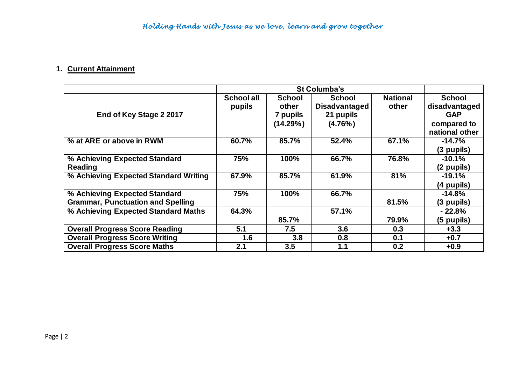## **1. Current Attainment**

|                                          |                   | <b>St Columba's</b> |                      |                 |                |  |  |
|------------------------------------------|-------------------|---------------------|----------------------|-----------------|----------------|--|--|
|                                          | <b>School all</b> | <b>School</b>       | <b>School</b>        | <b>National</b> | <b>School</b>  |  |  |
|                                          | pupils            | other               | <b>Disadvantaged</b> | other           | disadvantaged  |  |  |
| End of Key Stage 2 2017                  |                   | 7 pupils            | 21 pupils            |                 | <b>GAP</b>     |  |  |
|                                          |                   | (14.29%)            | $(4.76\%)$           |                 | compared to    |  |  |
|                                          |                   |                     |                      |                 | national other |  |  |
| % at ARE or above in RWM                 | 60.7%             | 85.7%               | 52.4%                | 67.1%           | $-14.7%$       |  |  |
|                                          |                   |                     |                      |                 | (3 pupils)     |  |  |
| % Achieving Expected Standard            | 75%               | 100%                | 66.7%                | 76.8%           | $-10.1%$       |  |  |
| Reading                                  |                   |                     |                      |                 | (2 pupils)     |  |  |
| % Achieving Expected Standard Writing    | 67.9%             | 85.7%               | 61.9%                | 81%             | $-19.1%$       |  |  |
|                                          |                   |                     |                      |                 | (4 pupils)     |  |  |
| % Achieving Expected Standard            | 75%               | 100%                | 66.7%                |                 | $-14.8%$       |  |  |
| <b>Grammar, Punctuation and Spelling</b> |                   |                     |                      | 81.5%           | (3 pupils)     |  |  |
| % Achieving Expected Standard Maths      | 64.3%             |                     | 57.1%                |                 | $-22.8%$       |  |  |
|                                          |                   | 85.7%               |                      | 79.9%           | (5 pupils)     |  |  |
| <b>Overall Progress Score Reading</b>    | 5.1               | 7.5                 | 3.6                  | 0.3             | $+3.3$         |  |  |
| <b>Overall Progress Score Writing</b>    | 1.6               | 3.8                 | 0.8                  | 0.1             | $+0.7$         |  |  |
| <b>Overall Progress Score Maths</b>      | 2.1               | 3.5                 | 1.1                  | 0.2             | $+0.9$         |  |  |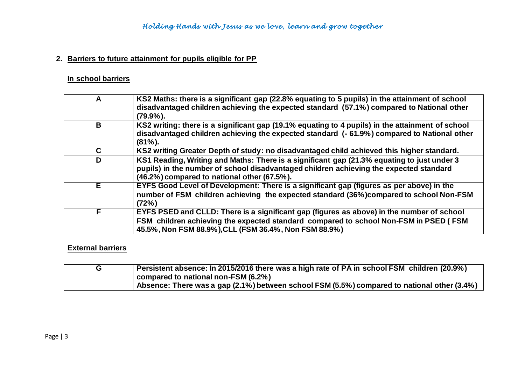#### **2. Barriers to future attainment for pupils eligible for PP**

## **In school barriers**

| A  | KS2 Maths: there is a significant gap (22.8% equating to 5 pupils) in the attainment of school<br>disadvantaged children achieving the expected standard (57.1%) compared to National other<br>$(79.9\%)$ .                                |
|----|--------------------------------------------------------------------------------------------------------------------------------------------------------------------------------------------------------------------------------------------|
| B  | KS2 writing: there is a significant gap (19.1% equating to 4 pupils) in the attainment of school<br>disadvantaged children achieving the expected standard (- 61.9%) compared to National other<br>$(81\%)$ .                              |
| C. | KS2 writing Greater Depth of study: no disadvantaged child achieved this higher standard.                                                                                                                                                  |
| D  | KS1 Reading, Writing and Maths: There is a significant gap (21.3% equating to just under 3<br>pupils) in the number of school disadvantaged children achieving the expected standard<br>(46.2%) compared to national other (67.5%).        |
| Е  | EYFS Good Level of Development: There is a significant gap (figures as per above) in the<br>number of FSM children achieving the expected standard (36%) compared to school Non-FSM<br>(72%)                                               |
| F  | EYFS PSED and CLLD: There is a significant gap (figures as above) in the number of school<br>FSM children achieving the expected standard compared to school Non-FSM in PSED (FSM<br>45.5%, Non FSM 88.9%), CLL (FSM 36.4%, Non FSM 88.9%) |

#### **External barriers**

| Persistent absence: In 2015/2016 there was a high rate of PA in school FSM children (20.9%) |
|---------------------------------------------------------------------------------------------|
| compared to national non-FSM (6.2%)                                                         |
| Absence: There was a gap (2.1%) between school FSM (5.5%) compared to national other (3.4%) |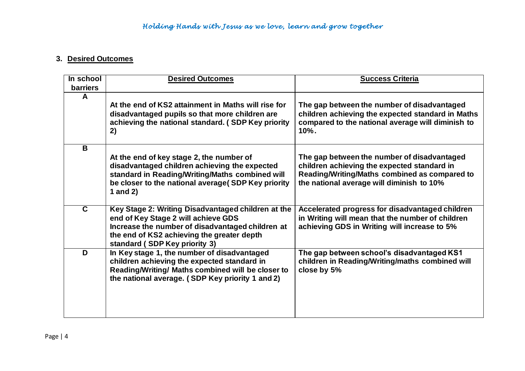#### **3. Desired Outcomes**

| In school<br><b>barriers</b> | <b>Desired Outcomes</b>                                                                                                                                                                                                      | <b>Success Criteria</b>                                                                                                                                                                  |
|------------------------------|------------------------------------------------------------------------------------------------------------------------------------------------------------------------------------------------------------------------------|------------------------------------------------------------------------------------------------------------------------------------------------------------------------------------------|
| A                            | At the end of KS2 attainment in Maths will rise for<br>disadvantaged pupils so that more children are<br>achieving the national standard. (SDP Key priority<br>2)                                                            | The gap between the number of disadvantaged<br>children achieving the expected standard in Maths<br>compared to the national average will diminish to<br>$10%$ .                         |
| B                            | At the end of key stage 2, the number of<br>disadvantaged children achieving the expected<br>standard in Reading/Writing/Maths combined will<br>be closer to the national average(SDP Key priority<br>1 and $2)$             | The gap between the number of disadvantaged<br>children achieving the expected standard in<br>Reading/Writing/Maths combined as compared to<br>the national average will diminish to 10% |
| C.                           | Key Stage 2: Writing Disadvantaged children at the<br>end of Key Stage 2 will achieve GDS<br>Increase the number of disadvantaged children at<br>the end of KS2 achieving the greater depth<br>standard (SDP Key priority 3) | Accelerated progress for disadvantaged children<br>in Writing will mean that the number of children<br>achieving GDS in Writing will increase to 5%                                      |
| D                            | In Key stage 1, the number of disadvantaged<br>children achieving the expected standard in<br>Reading/Writing/ Maths combined will be closer to<br>the national average. (SDP Key priority 1 and 2)                          | The gap between school's disadvantaged KS1<br>children in Reading/Writing/maths combined will<br>close by 5%                                                                             |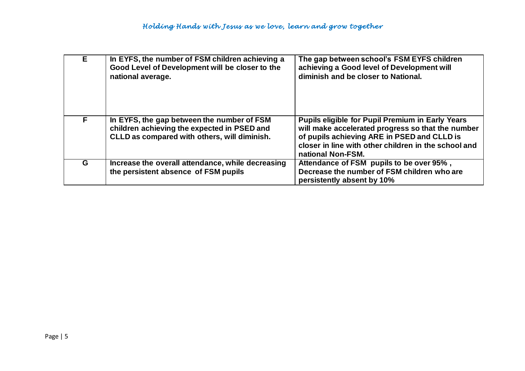| E. | In EYFS, the number of FSM children achieving a<br>Good Level of Development will be closer to the<br>national average.                   | The gap between school's FSM EYFS children<br>achieving a Good level of Development will<br>diminish and be closer to National.                                                                                                          |
|----|-------------------------------------------------------------------------------------------------------------------------------------------|------------------------------------------------------------------------------------------------------------------------------------------------------------------------------------------------------------------------------------------|
| F. | In EYFS, the gap between the number of FSM<br>children achieving the expected in PSED and<br>CLLD as compared with others, will diminish. | <b>Pupils eligible for Pupil Premium in Early Years</b><br>will make accelerated progress so that the number<br>of pupils achieving ARE in PSED and CLLD is<br>closer in line with other children in the school and<br>national Non-FSM. |
| G  | Increase the overall attendance, while decreasing<br>the persistent absence of FSM pupils                                                 | Attendance of FSM pupils to be over 95%,<br>Decrease the number of FSM children who are<br>persistently absent by 10%                                                                                                                    |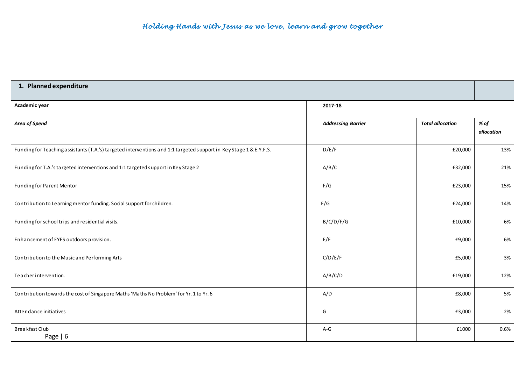| 1. Planned expenditure                                                                                             |                           |                         |                    |
|--------------------------------------------------------------------------------------------------------------------|---------------------------|-------------------------|--------------------|
| Academic year                                                                                                      | 2017-18                   |                         |                    |
| Area of Spend                                                                                                      | <b>Addressing Barrier</b> | <b>Total allocation</b> | % of<br>allocation |
| Funding for Teaching assistants (T.A.'s) targeted interventions and 1:1 targeted support in Key Stage 1 & E.Y.F.S. | D/E/F                     | £20,000                 | 13%                |
| Funding for T.A.'s targeted interventions and 1:1 targeted support in Key Stage 2                                  | A/B/C                     | £32,000                 | 21%                |
| Funding for Parent Mentor                                                                                          | F/G                       | £23,000                 | 15%                |
| Contribution to Learning mentor funding. Social support for children.                                              | F/G                       | £24,000                 | 14%                |
| Funding for school trips and residential visits.                                                                   | B/C/D/F/G                 | £10,000                 | 6%                 |
| Enhancement of EYFS outdoors provision.                                                                            | E/F                       | £9,000                  | 6%                 |
| Contribution to the Music and Performing Arts                                                                      | C/D/E/F                   | £5,000                  | 3%                 |
| Teacher intervention.                                                                                              | A/B/C/D                   | £19,000                 | 12%                |
| Contribution towards the cost of Singapore Maths 'Maths No Problem' for Yr. 1 to Yr. 6                             | A/D                       | £8,000                  | 5%                 |
| Attendance initiatives                                                                                             | G                         | £3,000                  | 2%                 |
| Breakfast Club<br>Page   6                                                                                         | $A-G$                     | £1000                   | 0.6%               |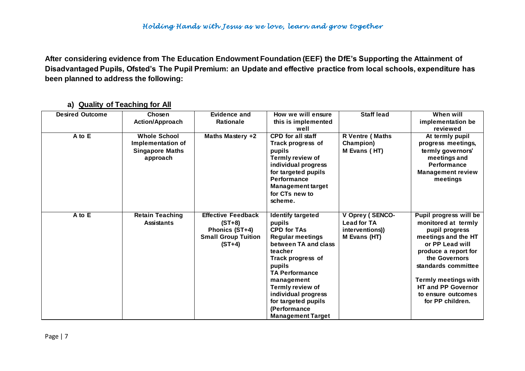**After considering evidence from The Education Endowment Foundation (EEF) the DfE's Supporting the Attainment of Disadvantaged Pupils, Ofsted's The Pupil Premium: an Update and effective practice from local schools, expenditure has been planned to address the following:**

| <b>Desired Outcome</b> | Chosen                                                                                | Evidence and                                                                                      | How we will ensure                                                                                                                                                                                                                                                                                         | <b>Staff lead</b>                                                       | When will                                                                                                                                                                                                                                                                       |
|------------------------|---------------------------------------------------------------------------------------|---------------------------------------------------------------------------------------------------|------------------------------------------------------------------------------------------------------------------------------------------------------------------------------------------------------------------------------------------------------------------------------------------------------------|-------------------------------------------------------------------------|---------------------------------------------------------------------------------------------------------------------------------------------------------------------------------------------------------------------------------------------------------------------------------|
|                        | <b>Action/Approach</b>                                                                | <b>Rationale</b>                                                                                  | this is implemented                                                                                                                                                                                                                                                                                        |                                                                         | implementation be                                                                                                                                                                                                                                                               |
|                        |                                                                                       |                                                                                                   | well                                                                                                                                                                                                                                                                                                       |                                                                         | reviewed                                                                                                                                                                                                                                                                        |
| A to E                 | <b>Whole School</b><br><b>Implementation of</b><br><b>Singapore Maths</b><br>approach | Maths Mastery +2                                                                                  | <b>CPD</b> for all staff<br>Track progress of<br>pupils<br>Termly review of<br>individual progress<br>for targeted pupils<br><b>Performance</b><br><b>Management target</b><br>for CTs new to<br>scheme.                                                                                                   | <b>R Ventre (Maths</b><br>Champion)<br>M Evans (HT)                     | At termly pupil<br>progress meetings,<br>termly governors'<br>meetings and<br>Performance<br><b>Management review</b><br>meetings                                                                                                                                               |
| A to E                 | <b>Retain Teaching</b><br><b>Assistants</b>                                           | <b>Effective Feedback</b><br>$(ST+8)$<br>Phonics (ST+4)<br><b>Small Group Tuition</b><br>$(ST+4)$ | <b>Identify targeted</b><br>pupils<br><b>CPD for TAs</b><br><b>Regular meetings</b><br>between TA and class<br>teacher<br>Track progress of<br>pupils<br><b>TA Performance</b><br>management<br>Termly review of<br>individual progress<br>for targeted pupils<br>(Performance<br><b>Management Target</b> | V Oprey (SENCO-<br><b>Lead for TA</b><br>interventions)<br>M Evans (HT) | Pupil progress will be<br>monitored at termly<br>pupil progress<br>meetings and the HT<br>or PP Lead will<br>produce a report for<br>the Governors<br>standards committee<br><b>Termly meetings with</b><br><b>HT and PP Governor</b><br>to ensure outcomes<br>for PP children. |

#### **a) Quality of Teaching for All**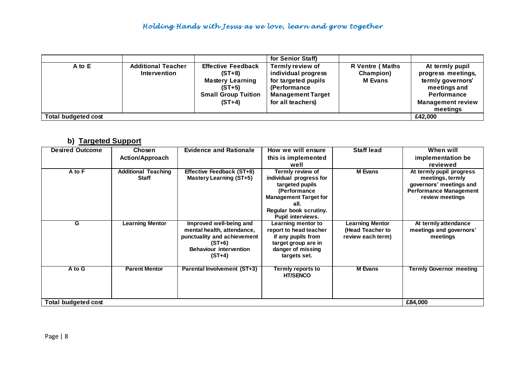## *Holding Hands with Jesus as we love , learn and grow together*

|                            |                           |                            | for Senior Staff)        |                        |                          |
|----------------------------|---------------------------|----------------------------|--------------------------|------------------------|--------------------------|
| $A$ to $E$                 | <b>Additional Teacher</b> | <b>Effective Feedback</b>  | Termly review of         | <b>R</b> Ventre (Maths | At termly pupil          |
|                            | <b>Intervention</b>       | $(ST+8)$                   | individual progress      | Champion)              | progress meetings,       |
|                            |                           | <b>Mastery Learning</b>    | for targeted pupils      | <b>M</b> Evans         | termly governors'        |
|                            |                           | $(ST+5)$                   | <b>(Performance)</b>     |                        | meetings and             |
|                            |                           | <b>Small Group Tuition</b> | <b>Management Target</b> |                        | <b>Performance</b>       |
|                            |                           | $(ST+4)$                   | for all teachers)        |                        | <b>Management review</b> |
|                            |                           |                            |                          |                        | meetings                 |
| <b>Total budgeted cost</b> |                           |                            |                          |                        | £42.000                  |

#### **b) Targeted Support**

| <b>Desired Outcome</b> | Chosen                     | <b>Evidence and Rationale</b>      | How we will ensure                                 | <b>Staff lead</b>      | When will                      |
|------------------------|----------------------------|------------------------------------|----------------------------------------------------|------------------------|--------------------------------|
|                        | <b>Action/Approach</b>     |                                    | this is implemented                                |                        | implementation be              |
|                        |                            |                                    | well                                               |                        | reviewed                       |
| A to F                 | <b>Additional Teaching</b> | Effective Feedback (ST+8)          | Termly review of                                   | <b>M</b> Evans         | At termly pupil progress       |
|                        | <b>Staff</b>               | Mastery Learning (ST+5)            | individual progress for                            |                        | meetings, termly               |
|                        |                            |                                    | targeted pupils                                    |                        | governors' meetings and        |
|                        |                            |                                    | (Performance                                       |                        | <b>Performance Management</b>  |
|                        |                            |                                    | <b>Management Target for</b>                       |                        | review meetings                |
|                        |                            |                                    | all.                                               |                        |                                |
|                        |                            |                                    | Regular book scrutiny.<br><b>Pupil interviews.</b> |                        |                                |
| G                      | <b>Learning Mentor</b>     | Improved well-being and            | Learning mentor to                                 | <b>Learning Mentor</b> | At termly attendance           |
|                        |                            | mental health, attendance,         | report to head teacher                             | (Head Teacher to       | meetings and governors'        |
|                        |                            | punctuality and achievement        | if any pupils from                                 | review each term)      | meetings                       |
|                        |                            | $(ST+6)$                           | target group are in                                |                        |                                |
|                        |                            | <b>Behaviour intervention</b>      | danger of missing                                  |                        |                                |
|                        |                            | $(ST+4)$                           | targets set.                                       |                        |                                |
|                        |                            |                                    |                                                    |                        |                                |
| A to G                 | <b>Parent Mentor</b>       | <b>Parental Involvement (ST+3)</b> | <b>Termly reports to</b>                           | <b>M</b> Evans         | <b>Termly Governor meeting</b> |
|                        |                            |                                    | <b>HT/SENCO</b>                                    |                        |                                |
|                        |                            |                                    |                                                    |                        |                                |
|                        |                            |                                    |                                                    |                        |                                |
|                        |                            |                                    |                                                    |                        |                                |
| Total budgeted cost    |                            |                                    |                                                    |                        | £84,000                        |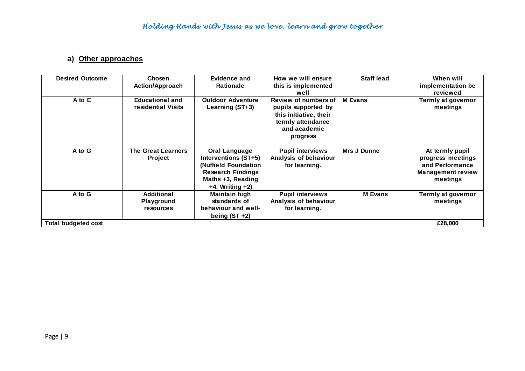## **a) Other approaches**

| <b>Desired Outcome</b> | Chosen                                       | <b>Evidence and</b>                                                                                                                            | How we will ensure                                                                             | <b>Staff lead</b> | When will                                                                                       |
|------------------------|----------------------------------------------|------------------------------------------------------------------------------------------------------------------------------------------------|------------------------------------------------------------------------------------------------|-------------------|-------------------------------------------------------------------------------------------------|
|                        | <b>Action/Approach</b>                       | <b>Rationale</b>                                                                                                                               | this is implemented<br>well                                                                    |                   | implementation be<br>reviewed                                                                   |
| A to E                 | <b>Educational and</b>                       | <b>Outdoor Adventure</b>                                                                                                                       | Review of numbers of                                                                           | <b>M</b> Evans    | <b>Termly at governor</b>                                                                       |
|                        | residential Visits                           | Learning (ST+3)                                                                                                                                | pupils supported by<br>this initiative, their<br>termly attendance<br>and academic<br>progress |                   | meetings                                                                                        |
| A to G                 | <b>The Great Learners</b><br><b>Project</b>  | <b>Oral Language</b><br>Interventions (ST+5)<br>(Nuffield Foundation<br><b>Research Findings</b><br>Maths +3, Reading<br>$+4$ , Writing $+2$ ) | <b>Pupil interviews</b><br>Analysis of behaviour<br>for learning.                              | Mrs J Dunne       | At termly pupil<br>progress meetings<br>and Performance<br><b>Management review</b><br>meetings |
| A to G                 | Additional<br><b>Playground</b><br>resources | Maintain high<br>standards of<br>behaviour and well-<br>being $(ST +2)$                                                                        | <b>Pupil interviews</b><br>Analysis of behaviour<br>for learning.                              | <b>M</b> Evans    | Termly at governor<br>meetings                                                                  |
| Total budgeted cost    |                                              |                                                                                                                                                |                                                                                                |                   | £28,000                                                                                         |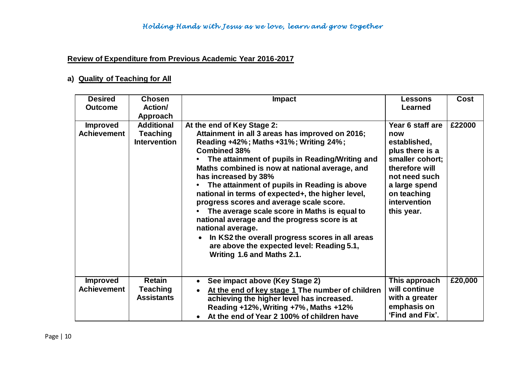## **Review of Expenditure from Previous Academic Year 2016-2017**

## **a) Quality of Teaching for All**

| <b>Desired</b><br><b>Outcome</b>      | <b>Chosen</b><br>Action/                                    | <b>Impact</b>                                                                                                                                                                                                                                                                                                                                                                                                                                                                                                                                                                                                                                                                     | Lessons<br><b>Learned</b>                                                                                                                                                      | <b>Cost</b> |
|---------------------------------------|-------------------------------------------------------------|-----------------------------------------------------------------------------------------------------------------------------------------------------------------------------------------------------------------------------------------------------------------------------------------------------------------------------------------------------------------------------------------------------------------------------------------------------------------------------------------------------------------------------------------------------------------------------------------------------------------------------------------------------------------------------------|--------------------------------------------------------------------------------------------------------------------------------------------------------------------------------|-------------|
|                                       | Approach                                                    |                                                                                                                                                                                                                                                                                                                                                                                                                                                                                                                                                                                                                                                                                   |                                                                                                                                                                                |             |
| <b>Improved</b><br><b>Achievement</b> | <b>Additional</b><br><b>Teaching</b><br><b>Intervention</b> | At the end of Key Stage 2:<br>Attainment in all 3 areas has improved on 2016;<br>Reading +42%; Maths +31%; Writing 24%;<br><b>Combined 38%</b><br>The attainment of pupils in Reading/Writing and<br>Maths combined is now at national average, and<br>has increased by 38%<br>The attainment of pupils in Reading is above<br>national in terms of expected+, the higher level,<br>progress scores and average scale score.<br>The average scale score in Maths is equal to<br>national average and the progress score is at<br>national average.<br>In KS2 the overall progress scores in all areas<br>are above the expected level: Reading 5.1,<br>Writing 1.6 and Maths 2.1. | Year 6 staff are<br>now<br>established,<br>plus there is a<br>smaller cohort;<br>therefore will<br>not need such<br>a large spend<br>on teaching<br>intervention<br>this year. | £22000      |
| <b>Improved</b><br><b>Achievement</b> | <b>Retain</b><br><b>Teaching</b><br><b>Assistants</b>       | See impact above (Key Stage 2)<br>At the end of key stage 1 The number of children<br>achieving the higher level has increased.<br>Reading +12%, Writing +7%, Maths +12%<br>At the end of Year 2 100% of children have                                                                                                                                                                                                                                                                                                                                                                                                                                                            | This approach<br>will continue<br>with a greater<br>emphasis on<br>'Find and Fix'.                                                                                             | £20,000     |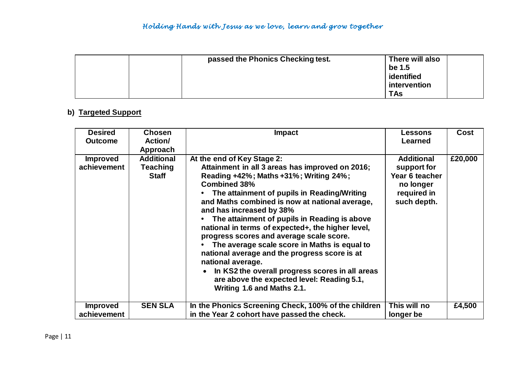| passed the Phonics Checking test. | There will also<br>be 1.5<br>identified<br>intervention |
|-----------------------------------|---------------------------------------------------------|
|                                   | <b>TAs</b>                                              |

## **b) Targeted Support**

| <b>Desired</b>                 | <b>Chosen</b>                                 | <b>Impact</b>                                                                                                                                                                                                                                                                                                                                                                                                                                                                                                                                                                                                                                                                     | <b>Lessons</b>                                                                                | <b>Cost</b> |
|--------------------------------|-----------------------------------------------|-----------------------------------------------------------------------------------------------------------------------------------------------------------------------------------------------------------------------------------------------------------------------------------------------------------------------------------------------------------------------------------------------------------------------------------------------------------------------------------------------------------------------------------------------------------------------------------------------------------------------------------------------------------------------------------|-----------------------------------------------------------------------------------------------|-------------|
| <b>Outcome</b>                 | Action/                                       |                                                                                                                                                                                                                                                                                                                                                                                                                                                                                                                                                                                                                                                                                   | <b>Learned</b>                                                                                |             |
|                                | Approach                                      |                                                                                                                                                                                                                                                                                                                                                                                                                                                                                                                                                                                                                                                                                   |                                                                                               |             |
| <b>Improved</b><br>achievement | <b>Additional</b><br>Teaching<br><b>Staff</b> | At the end of Key Stage 2:<br>Attainment in all 3 areas has improved on 2016;<br>Reading +42%; Maths +31%; Writing 24%;<br><b>Combined 38%</b><br>The attainment of pupils in Reading/Writing<br>and Maths combined is now at national average,<br>and has increased by 38%<br>The attainment of pupils in Reading is above<br>national in terms of expected+, the higher level,<br>progress scores and average scale score.<br>The average scale score in Maths is equal to<br>national average and the progress score is at<br>national average.<br>In KS2 the overall progress scores in all areas<br>are above the expected level: Reading 5.1,<br>Writing 1.6 and Maths 2.1. | <b>Additional</b><br>support for<br>Year 6 teacher<br>no longer<br>required in<br>such depth. | £20,000     |
| <b>Improved</b><br>achievement | <b>SEN SLA</b>                                | In the Phonics Screening Check, 100% of the children<br>in the Year 2 cohort have passed the check.                                                                                                                                                                                                                                                                                                                                                                                                                                                                                                                                                                               | This will no<br>longer be                                                                     | £4,500      |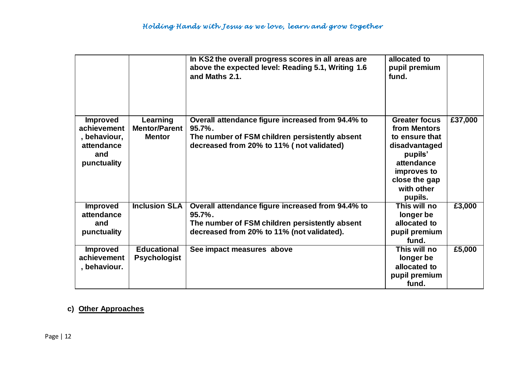|                                                                                    |                                                   | In KS2 the overall progress scores in all areas are<br>above the expected level: Reading 5.1, Writing 1.6<br>and Maths 2.1.                                     | allocated to<br>pupil premium<br>fund.                                                                                                                    |         |
|------------------------------------------------------------------------------------|---------------------------------------------------|-----------------------------------------------------------------------------------------------------------------------------------------------------------------|-----------------------------------------------------------------------------------------------------------------------------------------------------------|---------|
| <b>Improved</b><br>achievement<br>, behaviour,<br>attendance<br>and<br>punctuality | Learning<br><b>Mentor/Parent</b><br><b>Mentor</b> | Overall attendance figure increased from 94.4% to<br>$95.7\%$ .<br>The number of FSM children persistently absent<br>decreased from 20% to 11% (not validated)  | <b>Greater focus</b><br>from Mentors<br>to ensure that<br>disadvantaged<br>pupils'<br>attendance<br>improves to<br>close the gap<br>with other<br>pupils. | £37,000 |
| <b>Improved</b><br>attendance<br>and<br>punctuality                                | <b>Inclusion SLA</b>                              | Overall attendance figure increased from 94.4% to<br>$95.7\%$ .<br>The number of FSM children persistently absent<br>decreased from 20% to 11% (not validated). | This will no<br>longer be<br>allocated to<br>pupil premium<br>fund.                                                                                       | £3,000  |
| <b>Improved</b><br>achievement<br>, behaviour.                                     | <b>Educational</b><br><b>Psychologist</b>         | See impact measures above                                                                                                                                       | This will no<br>longer be<br>allocated to<br>pupil premium<br>fund.                                                                                       | £5,000  |

## **c) Other Approaches**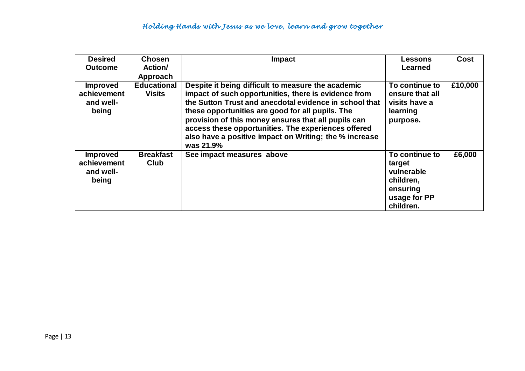| <b>Desired</b><br><b>Outcome</b>                     | <b>Chosen</b><br>Action/<br>Approach | <b>Impact</b>                                                                                                                                                                                                                                                                                                                                                                                                 | <b>Lessons</b><br>Learned                                                                    | Cost    |
|------------------------------------------------------|--------------------------------------|---------------------------------------------------------------------------------------------------------------------------------------------------------------------------------------------------------------------------------------------------------------------------------------------------------------------------------------------------------------------------------------------------------------|----------------------------------------------------------------------------------------------|---------|
| <b>Improved</b><br>achievement<br>and well-<br>being | <b>Educational</b><br><b>Visits</b>  | Despite it being difficult to measure the academic<br>impact of such opportunities, there is evidence from<br>the Sutton Trust and anecdotal evidence in school that<br>these opportunities are good for all pupils. The<br>provision of this money ensures that all pupils can<br>access these opportunities. The experiences offered<br>also have a positive impact on Writing; the % increase<br>was 21.9% | To continue to<br>ensure that all<br>visits have a<br>learning<br>purpose.                   | £10,000 |
| <b>Improved</b><br>achievement<br>and well-<br>being | <b>Breakfast</b><br><b>Club</b>      | See impact measures above                                                                                                                                                                                                                                                                                                                                                                                     | To continue to<br>target<br>vulnerable<br>children,<br>ensuring<br>usage for PP<br>children. | £6,000  |